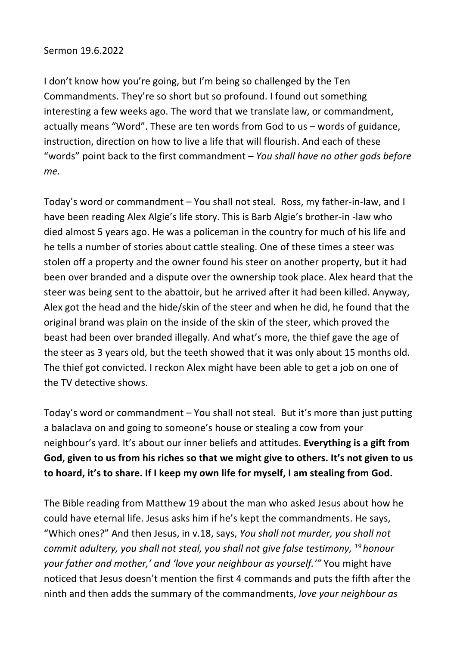## Sermon 19.6.2022

I don't know how you're going, but I'm being so challenged by the Ten Commandments. They're so short but so profound. I found out something interesting a few weeks ago. The word that we translate law, or commandment, actually means "Word". These are ten words from God to us – words of guidance, instruction, direction on how to live a life that will flourish. And each of these "words" point back to the first commandment – *You shall have no other gods before me.*

Today's word or commandment – You shall not steal. Ross, my father-in-law, and I have been reading Alex Algie's life story. This is Barb Algie's brother-in -law who died almost 5 years ago. He was a policeman in the country for much of his life and he tells a number of stories about cattle stealing. One of these times a steer was stolen off a property and the owner found his steer on another property, but it had been over branded and a dispute over the ownership took place. Alex heard that the steer was being sent to the abattoir, but he arrived after it had been killed. Anyway, Alex got the head and the hide/skin of the steer and when he did, he found that the original brand was plain on the inside of the skin of the steer, which proved the beast had been over branded illegally. And what's more, the thief gave the age of the steer as 3 years old, but the teeth showed that it was only about 15 months old. The thief got convicted. I reckon Alex might have been able to get a job on one of the TV detective shows.

Today's word or commandment – You shall not steal. But it's more than just putting a balaclava on and going to someone's house or stealing a cow from your neighbour's yard. It's about our inner beliefs and attitudes. **Everything is a gift from God, given to us from his riches so that we might give to others. It's not given to us to hoard, it's to share. If I keep my own life for myself, I am stealing from God.**

The Bible reading from Matthew 19 about the man who asked Jesus about how he could have eternal life. Jesus asks him if he's kept the commandments. He says, "Which ones?" And then Jesus, in v.18, says, *You shall not murder, you shall not commit adultery, you shall not steal, you shall not give false testimony, <sup>19</sup> honour your father and mother,' and 'love your neighbour as yourself.'"* You might have noticed that Jesus doesn't mention the first 4 commands and puts the fifth after the ninth and then adds the summary of the commandments, *love your neighbour as*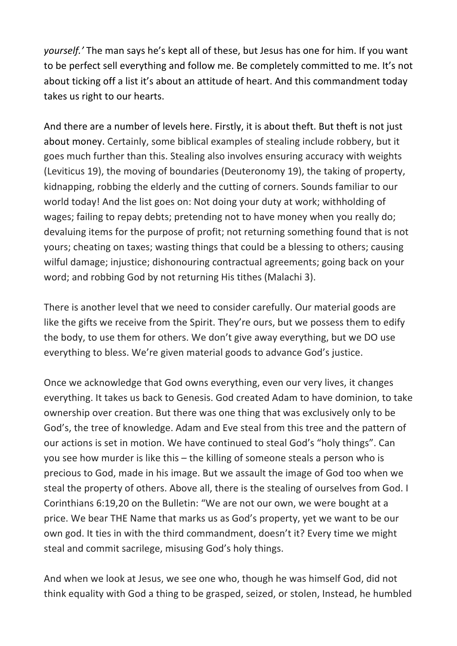*yourself.'* The man says he's kept all of these, but Jesus has one for him. If you want to be perfect sell everything and follow me. Be completely committed to me. It's not about ticking off a list it's about an attitude of heart. And this commandment today takes us right to our hearts.

And there are a number of levels here. Firstly, it is about theft. But theft is not just about money. Certainly, some biblical examples of stealing include robbery, but it goes much further than this. Stealing also involves ensuring accuracy with weights (Leviticus 19), the moving of boundaries (Deuteronomy 19), the taking of property, kidnapping, robbing the elderly and the cutting of corners. Sounds familiar to our world today! And the list goes on: Not doing your duty at work; withholding of wages; failing to repay debts; pretending not to have money when you really do; devaluing items for the purpose of profit; not returning something found that is not yours; cheating on taxes; wasting things that could be a blessing to others; causing wilful damage; injustice; dishonouring contractual agreements; going back on your word; and robbing God by not returning His tithes (Malachi 3).

There is another level that we need to consider carefully. Our material goods are like the gifts we receive from the Spirit. They're ours, but we possess them to edify the body, to use them for others. We don't give away everything, but we DO use everything to bless. We're given material goods to advance God's justice.

Once we acknowledge that God owns everything, even our very lives, it changes everything. It takes us back to Genesis. God created Adam to have dominion, to take ownership over creation. But there was one thing that was exclusively only to be God's, the tree of knowledge. Adam and Eve steal from this tree and the pattern of our actions is set in motion. We have continued to steal God's "holy things". Can you see how murder is like this – the killing of someone steals a person who is precious to God, made in his image. But we assault the image of God too when we steal the property of others. Above all, there is the stealing of ourselves from God. I Corinthians 6:19,20 on the Bulletin: "We are not our own, we were bought at a price. We bear THE Name that marks us as God's property, yet we want to be our own god. It ties in with the third commandment, doesn't it? Every time we might steal and commit sacrilege, misusing God's holy things.

And when we look at Jesus, we see one who, though he was himself God, did not think equality with God a thing to be grasped, seized, or stolen, Instead, he humbled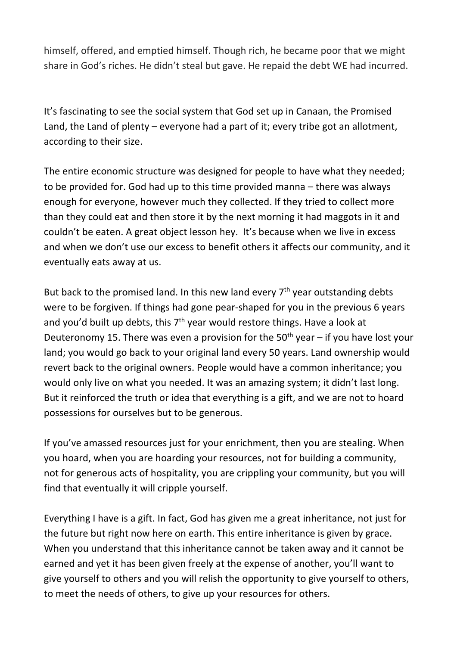himself, offered, and emptied himself. Though rich, he became poor that we might share in God's riches. He didn't steal but gave. He repaid the debt WE had incurred.

It's fascinating to see the social system that God set up in Canaan, the Promised Land, the Land of plenty – everyone had a part of it; every tribe got an allotment, according to their size.

The entire economic structure was designed for people to have what they needed; to be provided for. God had up to this time provided manna – there was always enough for everyone, however much they collected. If they tried to collect more than they could eat and then store it by the next morning it had maggots in it and couldn't be eaten. A great object lesson hey. It's because when we live in excess and when we don't use our excess to benefit others it affects our community, and it eventually eats away at us.

But back to the promised land. In this new land every  $7<sup>th</sup>$  year outstanding debts were to be forgiven. If things had gone pear-shaped for you in the previous 6 years and you'd built up debts, this  $7<sup>th</sup>$  year would restore things. Have a look at Deuteronomy 15. There was even a provision for the  $50<sup>th</sup>$  year – if you have lost your land; you would go back to your original land every 50 years. Land ownership would revert back to the original owners. People would have a common inheritance; you would only live on what you needed. It was an amazing system; it didn't last long. But it reinforced the truth or idea that everything is a gift, and we are not to hoard possessions for ourselves but to be generous.

If you've amassed resources just for your enrichment, then you are stealing. When you hoard, when you are hoarding your resources, not for building a community, not for generous acts of hospitality, you are crippling your community, but you will find that eventually it will cripple yourself.

Everything I have is a gift. In fact, God has given me a great inheritance, not just for the future but right now here on earth. This entire inheritance is given by grace. When you understand that this inheritance cannot be taken away and it cannot be earned and yet it has been given freely at the expense of another, you'll want to give yourself to others and you will relish the opportunity to give yourself to others, to meet the needs of others, to give up your resources for others.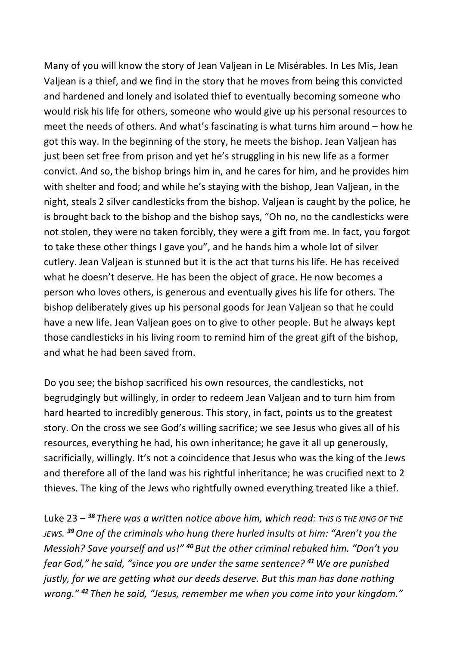Many of you will know the story of Jean Valjean in Le Misérables. In Les Mis, Jean Valjean is a thief, and we find in the story that he moves from being this convicted and hardened and lonely and isolated thief to eventually becoming someone who would risk his life for others, someone who would give up his personal resources to meet the needs of others. And what's fascinating is what turns him around – how he got this way. In the beginning of the story, he meets the bishop. Jean Valjean has just been set free from prison and yet he's struggling in his new life as a former convict. And so, the bishop brings him in, and he cares for him, and he provides him with shelter and food; and while he's staying with the bishop, Jean Valjean, in the night, steals 2 silver candlesticks from the bishop. Valjean is caught by the police, he is brought back to the bishop and the bishop says, "Oh no, no the candlesticks were not stolen, they were no taken forcibly, they were a gift from me. In fact, you forgot to take these other things I gave you", and he hands him a whole lot of silver cutlery. Jean Valjean is stunned but it is the act that turns his life. He has received what he doesn't deserve. He has been the object of grace. He now becomes a person who loves others, is generous and eventually gives his life for others. The bishop deliberately gives up his personal goods for Jean Valjean so that he could have a new life. Jean Valjean goes on to give to other people. But he always kept those candlesticks in his living room to remind him of the great gift of the bishop, and what he had been saved from.

Do you see; the bishop sacrificed his own resources, the candlesticks, not begrudgingly but willingly, in order to redeem Jean Valjean and to turn him from hard hearted to incredibly generous. This story, in fact, points us to the greatest story. On the cross we see God's willing sacrifice; we see Jesus who gives all of his resources, everything he had, his own inheritance; he gave it all up generously, sacrificially, willingly. It's not a coincidence that Jesus who was the king of the Jews and therefore all of the land was his rightful inheritance; he was crucified next to 2 thieves. The king of the Jews who rightfully owned everything treated like a thief.

Luke 23 – *<sup>38</sup> There was a written notice above him, which read: THIS IS THE KING OF THE JEWS. <sup>39</sup>One of the criminals who hung there hurled insults at him: "Aren't you the Messiah? Save yourself and us!" <sup>40</sup> But the other criminal rebuked him. "Don't you fear God," he said, "since you are under the same sentence? <sup>41</sup>We are punished justly, for we are getting what our deeds deserve. But this man has done nothing wrong." <sup>42</sup> Then he said, "Jesus, remember me when you come into your kingdom."*